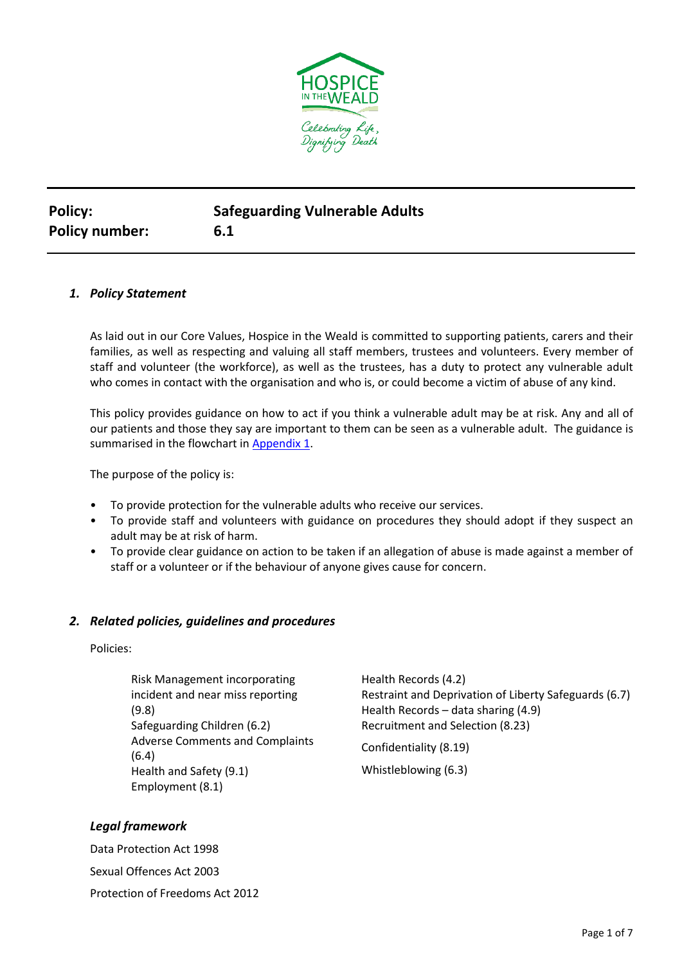

| <b>Policy:</b>        | <b>Safeguarding Vulnerable Adults</b> |
|-----------------------|---------------------------------------|
| <b>Policy number:</b> | 6.1                                   |

## *1. Policy Statement*

As laid out in our Core Values, Hospice in the Weald is committed to supporting patients, carers and their families, as well as respecting and valuing all staff members, trustees and volunteers. Every member of staff and volunteer (the workforce), as well as the trustees, has a duty to protect any vulnerable adult who comes in contact with the organisation and who is, or could become a victim of abuse of any kind.

This policy provides guidance on how to act if you think a vulnerable adult may be at risk. Any and all of our patients and those they say are important to them can be seen as a vulnerable adult. The guidance is summarised in the flowchart in [Appendix](#page-6-0) 1.

The purpose of the policy is:

- To provide protection for the vulnerable adults who receive our services.
- To provide staff and volunteers with guidance on procedures they should adopt if they suspect an adult may be at risk of harm.
- To provide clear guidance on action to be taken if an allegation of abuse is made against a member of staff or a volunteer or if the behaviour of anyone gives cause for concern.

### *2. Related policies, guidelines and procedures*

Policies:

Risk Management incorporating incident and near miss reporting (9.8) Safeguarding Children (6.2) Adverse Comments and Complaints (6.4) Health and Safety (9.1) Employment (8.1)

Health Records (4.2) Restraint and Deprivation of Liberty Safeguards (6.7) Health Records – data sharing (4.9) Recruitment and Selection (8.23)

Confidentiality (8.19)

Whistleblowing (6.3)

# *Legal framework*

Data Protection Act 1998 Sexual Offences Act 2003 Protection of Freedoms Act 2012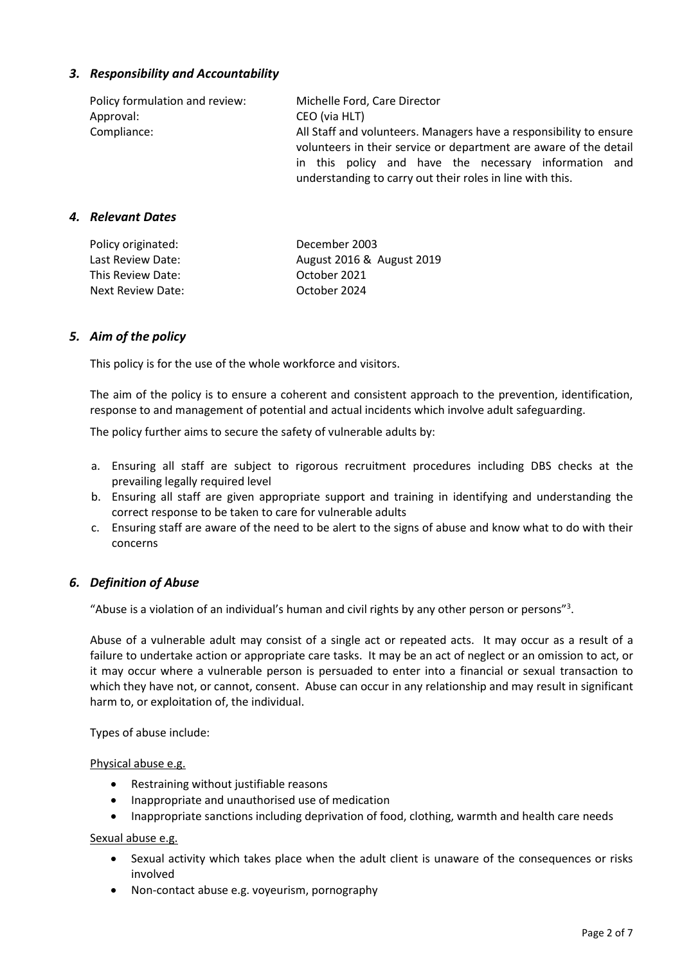# *3. Responsibility and Accountability*

| Policy formulation and review: | Michelle Ford, Care Director                                                                                                            |  |  |
|--------------------------------|-----------------------------------------------------------------------------------------------------------------------------------------|--|--|
| Approval:                      | CEO (via HLT)                                                                                                                           |  |  |
| Compliance:                    | All Staff and volunteers. Managers have a responsibility to ensure<br>volunteers in their service or department are aware of the detail |  |  |
|                                | in this policy and have the necessary information and<br>understanding to carry out their roles in line with this.                      |  |  |

## *4. Relevant Dates*

| Policy originated: | December 2003             |
|--------------------|---------------------------|
| Last Review Date:  | August 2016 & August 2019 |
| This Review Date:  | October 2021              |
| Next Review Date:  | October 2024              |

## *5. Aim of the policy*

This policy is for the use of the whole workforce and visitors.

The aim of the policy is to ensure a coherent and consistent approach to the prevention, identification, response to and management of potential and actual incidents which involve adult safeguarding.

The policy further aims to secure the safety of vulnerable adults by:

- a. Ensuring all staff are subject to rigorous recruitment procedures including DBS checks at the prevailing legally required level
- b. Ensuring all staff are given appropriate support and training in identifying and understanding the correct response to be taken to care for vulnerable adults
- c. Ensuring staff are aware of the need to be alert to the signs of abuse and know what to do with their concerns

# *6. Definition of Abuse*

"Abuse is a violation of an individual's human and civil rights by any other person or persons"<sup>3</sup>.

Abuse of a vulnerable adult may consist of a single act or repeated acts. It may occur as a result of a failure to undertake action or appropriate care tasks. It may be an act of neglect or an omission to act, or it may occur where a vulnerable person is persuaded to enter into a financial or sexual transaction to which they have not, or cannot, consent. Abuse can occur in any relationship and may result in significant harm to, or exploitation of, the individual.

Types of abuse include:

Physical abuse e.g.

- Restraining without justifiable reasons
- Inappropriate and unauthorised use of medication
- Inappropriate sanctions including deprivation of food, clothing, warmth and health care needs

Sexual abuse e.g.

- Sexual activity which takes place when the adult client is unaware of the consequences or risks involved
- Non-contact abuse e.g. voyeurism, pornography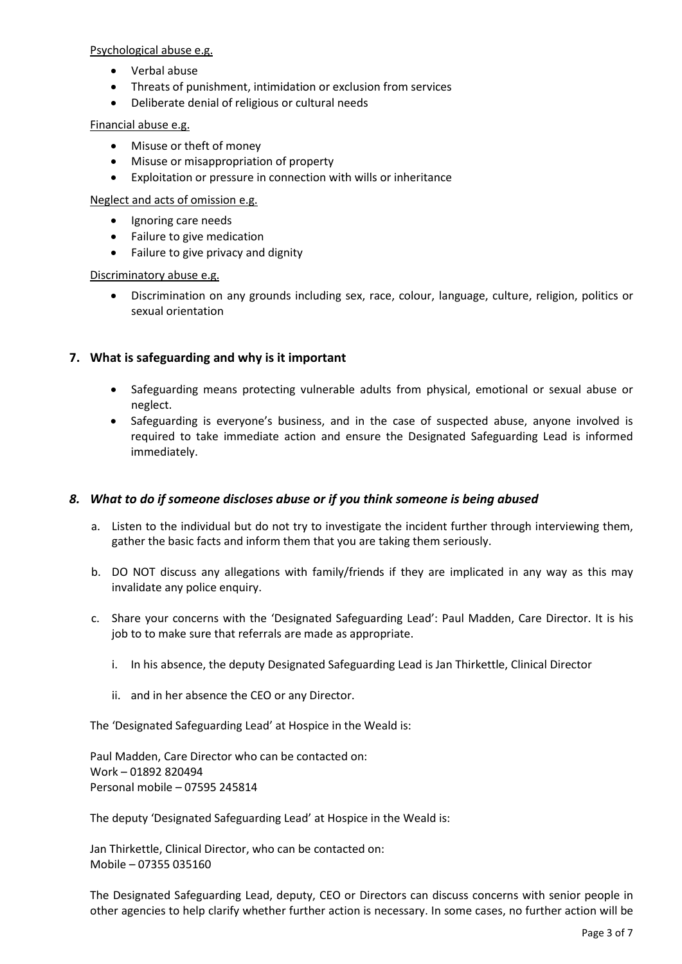#### Psychological abuse e.g.

- Verbal abuse
- Threats of punishment, intimidation or exclusion from services
- Deliberate denial of religious or cultural needs

### Financial abuse e.g.

- Misuse or theft of money
- Misuse or misappropriation of property
- Exploitation or pressure in connection with wills or inheritance

#### Neglect and acts of omission e.g.

- Ignoring care needs
- Failure to give medication
- Failure to give privacy and dignity

#### Discriminatory abuse e.g.

• Discrimination on any grounds including sex, race, colour, language, culture, religion, politics or sexual orientation

# **7. What is safeguarding and why is it important**

- Safeguarding means protecting vulnerable adults from physical, emotional or sexual abuse or neglect.
- Safeguarding is everyone's business, and in the case of suspected abuse, anyone involved is required to take immediate action and ensure the Designated Safeguarding Lead is informed immediately.

# *8. What to do if someone discloses abuse or if you think someone is being abused*

- a. Listen to the individual but do not try to investigate the incident further through interviewing them, gather the basic facts and inform them that you are taking them seriously.
- b. DO NOT discuss any allegations with family/friends if they are implicated in any way as this may invalidate any police enquiry.
- <span id="page-2-1"></span><span id="page-2-0"></span>c. Share your concerns with the 'Designated Safeguarding Lead': Paul Madden, Care Director. It is his job to to make sure that referrals are made as appropriate.
	- i. In his absence, the deputy Designated Safeguarding Lead is Jan Thirkettle, Clinical Director
	- ii. and in her absence the CEO or any Director.

<span id="page-2-2"></span>The 'Designated Safeguarding Lead' at Hospice in the Weald is:

Paul Madden, Care Director who can be contacted on: Work – 01892 820494 Personal mobile – 07595 245814

The deputy 'Designated Safeguarding Lead' at Hospice in the Weald is:

Jan Thirkettle, Clinical Director, who can be contacted on: Mobile – 07355 035160

The Designated Safeguarding Lead, deputy, CEO or Directors can discuss concerns with senior people in other agencies to help clarify whether further action is necessary. In some cases, no further action will be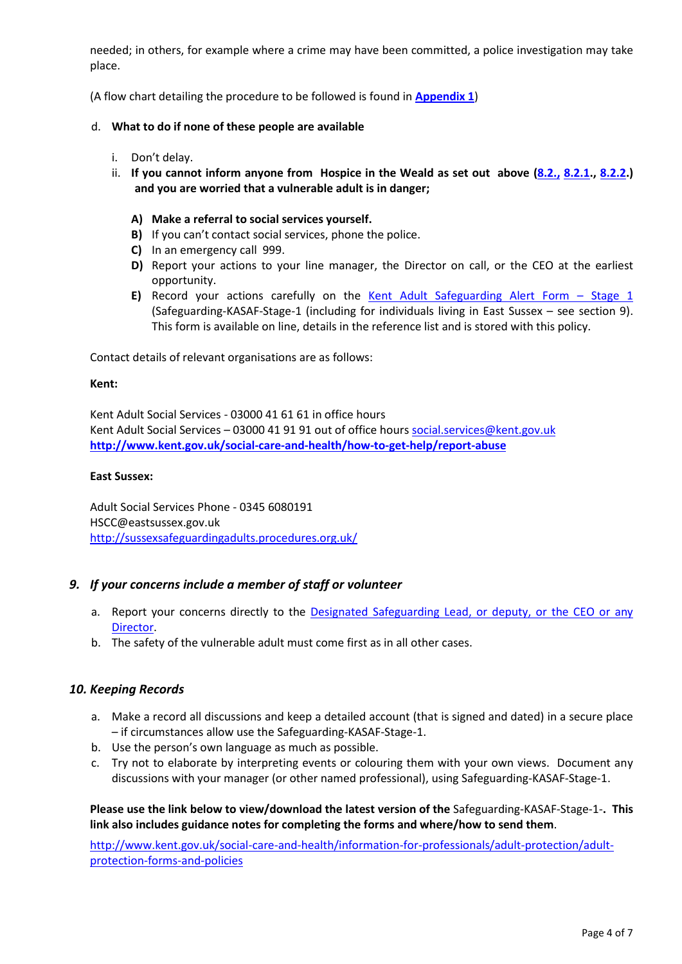needed; in others, for example where a crime may have been committed, a police investigation may take place.

(A flow chart detailing the procedure to be followed is found in **[Appendix 1](#page-6-0)**)

## d. **What to do if none of these people are available**

- i. Don't delay.
- ii. **If you cannot inform anyone from Hospice in the Weald as set out above [\(8.2.,](#page-2-0) [8.2.1.](#page-2-1), [8.2.2.](#page-2-2)) and you are worried that a vulnerable adult is in danger;**
	- **A) Make a referral to social services yourself.**
	- **B)** If you can't contact social services, phone the police.
	- **C)** In an emergency call 999.
	- **D)** Report your actions to your line manager, the Director on call, or the CEO at the earliest opportunity.
	- **E)** Record your actions carefully on the [Kent Adult Safeguarding Alert Form](https://www.kent.gov.uk/__data/assets/word_doc/0003/10884/Kent-Adult-Safeguarding-Alert-Form-KASAF.docx)  Stage 1 (Safeguarding-KASAF-Stage-1 (including for individuals living in East Sussex – see section 9). This form is available on line, details in the reference list and is stored with this policy.

Contact details of relevant organisations are as follows:

#### **Kent:**

Kent Adult Social Services - 03000 41 61 61 in office hours Kent Adult Social Services – 03000 41 91 91 out of office hours [social.services@kent.gov.uk](mailto:social.services@kent.gov.uk) **<http://www.kent.gov.uk/social-care-and-health/how-to-get-help/report-abuse>**

#### **East Sussex:**

Adult Social Services Phone - 0345 6080191 HSCC@eastsussex.gov.uk <http://sussexsafeguardingadults.procedures.org.uk/>

# *9. If your concerns include a member of staff or volunteer*

- a. Report your concerns directly to the Designated Safeguarding Lead, or deputy, or the CEO or any [Director.](#page-2-1)
- b. The safety of the vulnerable adult must come first as in all other cases.

# *10. Keeping Records*

- a. Make a record all discussions and keep a detailed account (that is signed and dated) in a secure place – if circumstances allow use the Safeguarding-KASAF-Stage-1.
- b. Use the person's own language as much as possible.
- c. Try not to elaborate by interpreting events or colouring them with your own views. Document any discussions with your manager (or other named professional), using Safeguarding-KASAF-Stage-1.

**Please use the link below to view/download the latest version of the** Safeguarding-KASAF-Stage-1-**. This link also includes guidance notes for completing the forms and where/how to send them**.

[http://www.kent.gov.uk/social-care-and-health/information-for-professionals/adult-protection/adult](http://www.kent.gov.uk/social-care-and-health/information-for-professionals/adult-protection/adult-protection-forms-and-policies)[protection-forms-and-policies](http://www.kent.gov.uk/social-care-and-health/information-for-professionals/adult-protection/adult-protection-forms-and-policies)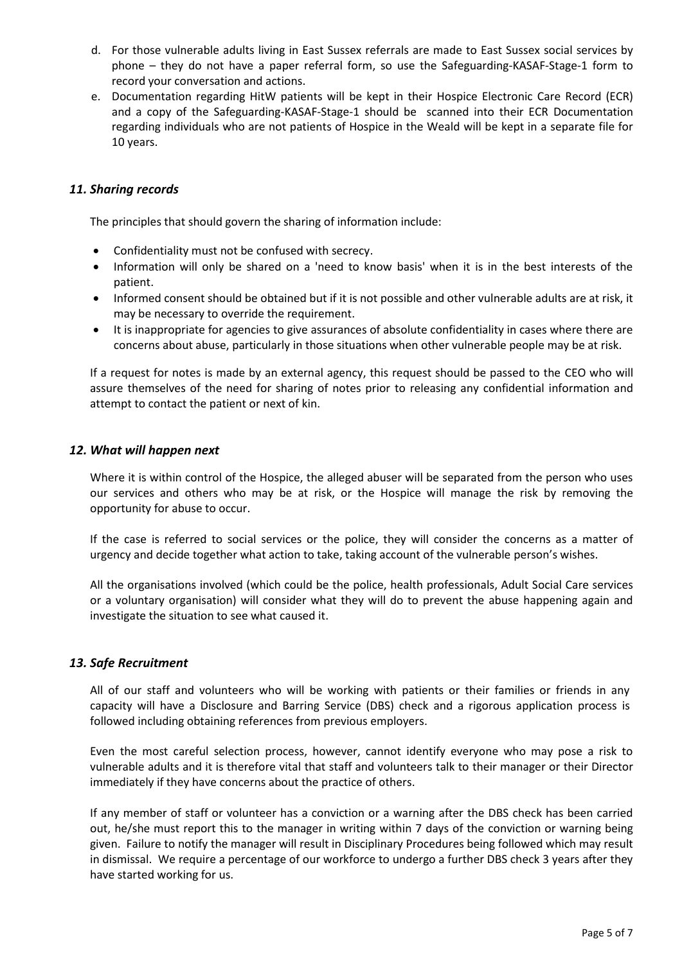- d. For those vulnerable adults living in East Sussex referrals are made to East Sussex social services by phone – they do not have a paper referral form, so use the Safeguarding-KASAF-Stage-1 form to record your conversation and actions.
- e. Documentation regarding HitW patients will be kept in their Hospice Electronic Care Record (ECR) and a copy of the Safeguarding-KASAF-Stage-1 should be scanned into their ECR Documentation regarding individuals who are not patients of Hospice in the Weald will be kept in a separate file for 10 years.

## *11. Sharing records*

The principles that should govern the sharing of information include:

- Confidentiality must not be confused with secrecy.
- Information will only be shared on a 'need to know basis' when it is in the best interests of the patient.
- Informed consent should be obtained but if it is not possible and other vulnerable adults are at risk, it may be necessary to override the requirement.
- It is inappropriate for agencies to give assurances of absolute confidentiality in cases where there are concerns about abuse, particularly in those situations when other vulnerable people may be at risk.

If a request for notes is made by an external agency, this request should be passed to the CEO who will assure themselves of the need for sharing of notes prior to releasing any confidential information and attempt to contact the patient or next of kin.

## *12. What will happen next*

Where it is within control of the Hospice, the alleged abuser will be separated from the person who uses our services and others who may be at risk, or the Hospice will manage the risk by removing the opportunity for abuse to occur.

If the case is referred to social services or the police, they will consider the concerns as a matter of urgency and decide together what action to take, taking account of the vulnerable person's wishes.

All the organisations involved (which could be the police, health professionals, Adult Social Care services or a voluntary organisation) will consider what they will do to prevent the abuse happening again and investigate the situation to see what caused it.

# *13. Safe Recruitment*

All of our staff and volunteers who will be working with patients or their families or friends in any capacity will have a Disclosure and Barring Service (DBS) check and a rigorous application process is followed including obtaining references from previous employers.

Even the most careful selection process, however, cannot identify everyone who may pose a risk to vulnerable adults and it is therefore vital that staff and volunteers talk to their manager or their Director immediately if they have concerns about the practice of others.

If any member of staff or volunteer has a conviction or a warning after the DBS check has been carried out, he/she must report this to the manager in writing within 7 days of the conviction or warning being given. Failure to notify the manager will result in Disciplinary Procedures being followed which may result in dismissal. We require a percentage of our workforce to undergo a further DBS check 3 years after they have started working for us.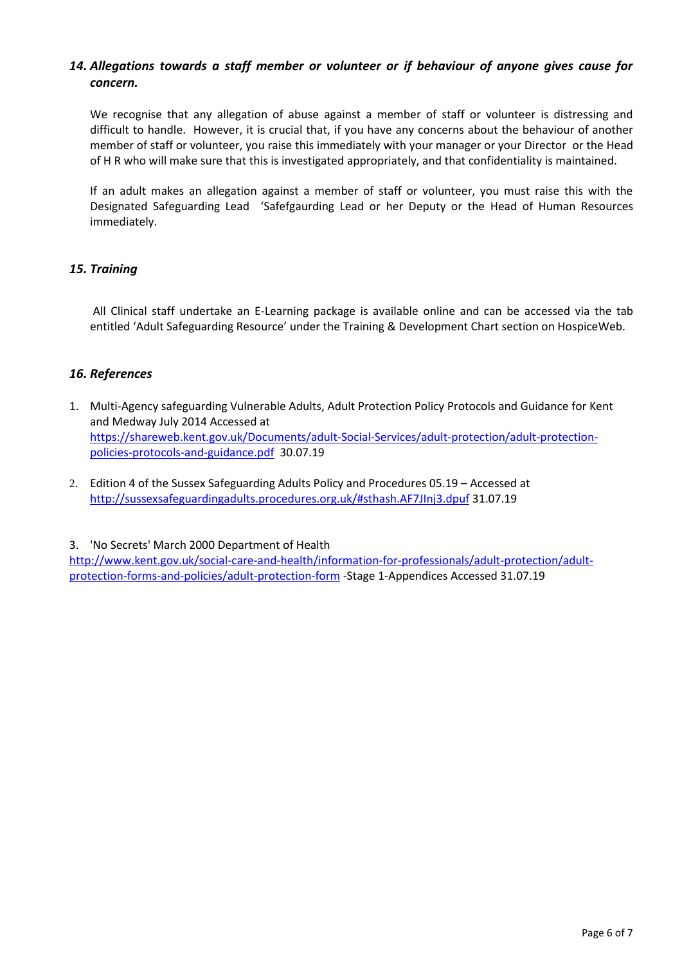# *14. Allegations towards a staff member or volunteer or if behaviour of anyone gives cause for concern.*

We recognise that any allegation of abuse against a member of staff or volunteer is distressing and difficult to handle. However, it is crucial that, if you have any concerns about the behaviour of another member of staff or volunteer, you raise this immediately with your manager or your Director or the Head of H R who will make sure that this is investigated appropriately, and that confidentiality is maintained.

If an adult makes an allegation against a member of staff or volunteer, you must raise this with the Designated Safeguarding Lead 'Safefgaurding Lead or her Deputy or the Head of Human Resources immediately.

# *15. Training*

All Clinical staff undertake an E-Learning package is available online and can be accessed via the tab entitled 'Adult Safeguarding Resource' under the Training & Development Chart section on HospiceWeb.

# *16. References*

- 1. Multi-Agency safeguarding Vulnerable Adults, Adult Protection Policy Protocols and Guidance for Kent and Medway July 2014 Accessed at [https://shareweb.kent.gov.uk/Documents/adult-Social-Services/adult-protection/adult-protection](https://shareweb.kent.gov.uk/Documents/adult-Social-Services/adult-protection/adult-protection-policies-protocols-and-guidance.pdf)[policies-protocols-and-guidance.pdf](https://shareweb.kent.gov.uk/Documents/adult-Social-Services/adult-protection/adult-protection-policies-protocols-and-guidance.pdf) 30.07.19
- 2. Edition 4 of the Sussex Safeguarding Adults Policy and Procedures 05.19 Accessed at <http://sussexsafeguardingadults.procedures.org.uk/#sthash.AF7JInj3.dpuf> 31.07.19

3. 'No Secrets' March 2000 Department of Health

[http://www.kent.gov.uk/social-care-and-health/information-for-professionals/adult-protection/adult](http://www.kent.gov.uk/social-care-and-health/information-for-professionals/adult-protection/adult-protection-forms-and-policies/adult-protection-form)[protection-forms-and-policies/adult-protection-form](http://www.kent.gov.uk/social-care-and-health/information-for-professionals/adult-protection/adult-protection-forms-and-policies/adult-protection-form) -Stage 1-Appendices Accessed 31.07.19